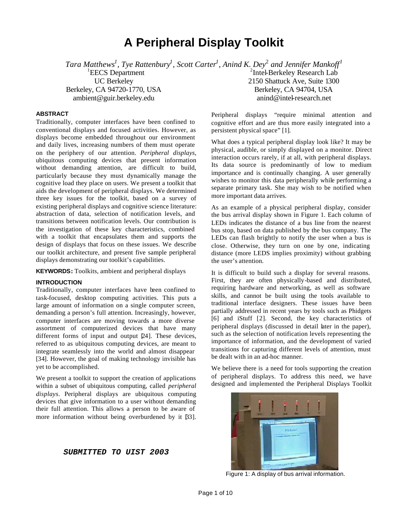# **A Peripheral Display Toolkit**

*Tara Matthews<sup>1</sup> , Tye Rattenbury<sup>1</sup> , Scott Carter<sup>1</sup> , Anind K. Dey*<sup>2</sup> *and Jennifer Mankoff<sup>1</sup>*

<sup>1</sup>EECS Department UC Berkeley Berkeley, CA 94720-1770, USA ambient@guir.berkeley.edu

# **ABSTRACT**

Traditionally, computer interfaces have been confined to conventional displays and focused activities. However, as displays become embedded throughout our environment and daily lives, increasing numbers of them must operate on the periphery of our attention. *Peripheral displays*, ubiquitous computing devices that present information without demanding attention, are difficult to build, particularly because they must dynamically manage the cognitive load they place on users. We present a toolkit that aids the development of peripheral displays. We determined three key issues for the toolkit, based on a survey of existing peripheral displays and cognitive science literature: abstraction of data, selection of notification levels, and transitions between notification levels. Our contribution is the investigation of these key characteristics, combined with a toolkit that encapsulates them and supports the design of displays that focus on these issues. We describe our toolkit architecture, and present five sample peripheral displays demonstrating our toolkit's capabilities.

**KEYWORDS:** Toolkits, ambient and peripheral displays

# **INTRODUCTION**

Traditionally, computer interfaces have been confined to task-focused, desktop computing activities. This puts a large amount of information on a single computer screen, demanding a person's full attention. Increasingly, however, computer interfaces are moving towards a more diverse assortment of computerized devices that have many different forms of input and output [24]. These devices, referred to as ubiquitous computing devices, are meant to integrate seamlessly into the world and almost disappear [34]. However, the goal of making technology invisible has yet to be accomplished.

We present a toolkit to support the creation of applications within a subset of ubiquitous computing, called *peripheral displays*. Peripheral displays are ubiquitous computing devices that give information to a user without demanding their full attention. This allows a person to be aware of more information without being overburdened by it  $\beta$ 3.

*SUBMITTED TO UIST 2003*

<sup>2</sup>Intel-Berkeley Research Lab 2150 Shattuck Ave, Suite 1300 Berkeley, CA 94704, USA anind@intel-research.net

Peripheral displays "require minimal attention and cognitive effort and are thus more easily integrated into a persistent physical space" [1].

What does a typical peripheral display look like? It may be physical, audible, or simply displayed on a monitor. Direct interaction occurs rarely, if at all, with peripheral displays. Its data source is predominantly of low to medium importance and is continually changing. A user generally wishes to monitor this data peripherally while performing a separate primary task. She may wish to be notified when more important data arrives.

As an example of a physical peripheral display, consider the bus arrival display shown in Figure 1. Each column of LEDs indicates the distance of a bus line from the nearest bus stop, based on data published by the bus company. The LEDs can flash brightly to notify the user when a bus is close. Otherwise, they turn on one by one, indicating distance (more LEDS implies proximity) without grabbing the user's attention.

It is difficult to build such a display for several reasons. First, they are often physically-based and distributed, requiring hardware and networking, as well as software skills, and cannot be built using the tools available to traditional interface designers. These issues have been partially addressed in recent years by tools such as Phidgets [6] and iStuff [2]. Second, the key characteristics of peripheral displays (discussed in detail later in the paper), such as the selection of notification levels representing the importance of information, and the development of varied transitions for capturing different levels of attention, must be dealt with in an ad-hoc manner.

We believe there is a need for tools supporting the creation of peripheral displays. To address this need, we have designed and implemented the Peripheral Displays Toolkit



Figure 1: A display of bus arrival information.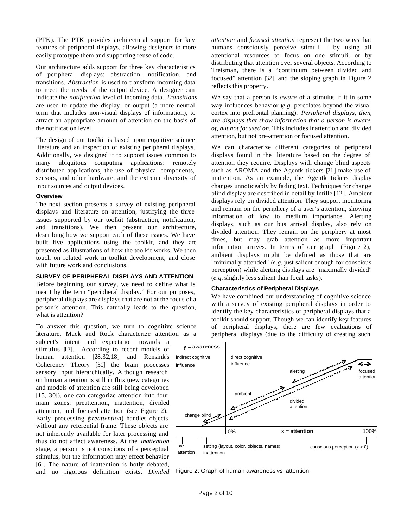(PTK). The PTK provides architectural support for key features of peripheral displays, allowing designers to more easily prototype them and supporting reuse of code.

Our architecture adds support for three key characteristics of peripheral displays: abstraction, notification, and transitions. *Abstraction* is used to transform incoming data to meet the needs of the output device. A designer can indicate the *notification* level of incoming data. *Transitions* are used to update the display, or output (a more neutral term that includes non-visual displays of information), to attract an appropriate amount of attention on the basis of the notification level.*.*

The design of our toolkit is based upon cognitive science literature and an inspection of existing peripheral displays. Additionally, we designed it to support issues common to many ubiquitous computing applications: remotely distributed applications, the use of physical components, sensors, and other hardware, and the extreme diversity of input sources and output devices.

#### **Overview**

The next section presents a survey of existing peripheral displays and literature on attention, justifying the three issues supported by our toolkit (abstraction, notification, and transitions). We then present our architecture, describing how we support each of these issues. We have built five applications using the toolkit, and they are presented as illustrations of how the toolkit works. We then touch on related work in toolkit development, and close with future work and conclusions.

# **SURVEY OF PERIPHERAL DISPLAYS AND ATTENTION**

Before beginning our survey, we need to define what is meant by the term "peripheral display." For our purposes, peripheral displays are displays that are not at the focus of a person's attention. This naturally leads to the question, what is attention?

To answer this question, we turn to cognitive science literature. Mack and Rock characterize attention as a

subject's intent and expectation towards a stimulus [17]. According to recent models of human attention [28,32,18] and Rensink's Coherency Theory [30] the brain processes sensory input hierarchically. Although research on human attention is still in flux (new categories and models of attention are still being developed [15, 30]), one can categorize attention into four main zones: preattention, inattention, divided attention, and focused attention (see Figure 2). Early processing (*preattention*) handles objects without any referential frame. These objects are not inherently available for later processing and thus do not affect awareness. At the *inattention* stage, a person is not conscious of a perceptual stimulus, but the information may effect behavior [6]. The nature of inattention is hotly debated, and no rigorous definition exists. *Divided* 

*attention* and *focused attention* represent the two ways that humans consciously perceive stimuli – by using all attentional resources to focus on one stimuli, or by distributing that attention over several objects. According to Treisman, there is a "continuum between divided and focused" attention [32], and the sloping graph in Figure 2 reflects this property.

We say that a person is *aware* of a stimulus if it in some way influences behavior (*e.g.* percolates beyond the visual cortex into prefrontal planning). *Peripheral displays, then, are displays that show information that a person is aware of, but not focused on.* This includes inattention and divided attention, but not pre-attention or focused attention.

We can characterize different categories of peripheral displays found in the literature based on the degree of attention they require. Displays with change blind aspects such as AROMA and the Agentk tickers [21] make use of inattention. As an example, the Agentk tickers display changes unnoticeably by fading text. Techniques for change blind display are described in detail by Intille [12]. Ambient displays rely on divided attention. They support monitoring and remain on the periphery of a user's attention, showing information of low to medium importance. Alerting displays, such as our bus arrival display, also rely on divided attention. They remain on the periphery at most times, but may grab attention as more important information arrives. In terms of our graph (Figure 2), ambient displays might be defined as those that are "minimally attended" (*e.g.* just salient enough for conscious perception) while alerting displays are "maximally divided" (*e.g.* slightly less salient than focal tasks).

#### **Characteristics of Peripheral Displays**

We have combined our understanding of cognitive science with a survey of existing peripheral displays in order to identify the key characteristics of peripheral displays that a toolkit should support. Though we can identify key features of peripheral displays, there are few evaluations of peripheral displays (due to the difficulty of creating such



Figure 2: Graph of human awareness *vs.* attention.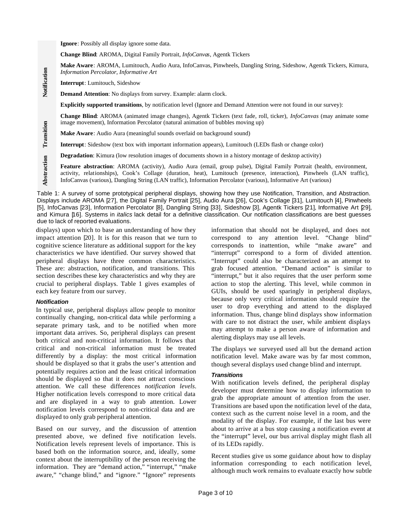**Ignore**: Possibly all display ignore some data.

**Change Blind**: AROMA, Digital Family Portrait, *InfoCanvas*, Agentk Tickers

**Make Aware**: AROMA, Lumitouch, Audio Aura, InfoCanvas, Pinwheels, Dangling String, Sideshow, Agentk Tickers, Kimura, *Information Percolator*, *Informative Art*

**Interrupt**: Lumitouch, Sideshow

**Demand Attention**: No displays from survey. Example: alarm clock.

**Explicitly supported transitions**, by notification level (Ignore and Demand Attention were not found in our survey):

**Change Blind**: AROMA (animated image changes), Agentk Tickers (text fade, roll, ticker), *InfoCanvas* (may animate some image movement), Information Percolator (natural animation of bubbles moving up)

**Make Aware**: Audio Aura (meaningful sounds overlaid on background sound)

**Interrupt**: Sideshow (text box with important information appears), Lumitouch (LEDs flash or change color)

**Degradation**: Kimura (low resolution images of documents shown in a history montage of desktop activity)

**Feature abstraction**: AROMA (activity), Audio Aura (email, group pulse), Digital Family Portrait (health, environment, activity, relationships), Cook's Collage (duration, heat), Lumitouch (presence, interaction), Pinwheels (LAN traffic), InfoCanvas (various), Dangling String (LAN traffic), Information Percolator (various), Informative Art (various)

Table 1: A survey of some prototypical peripheral displays, showing how they use Notification, Transition, and Abstraction. Displays include AROMA [27], the Digital Family Portrait [25], Audio Aura [26], Cook's Collage [31], Lumitouch [4], Pinwheels [5], InfoCanvas [23], Information Percolator [8], Dangling String [33], Sideshow [3], Agentk Tickers [21], Informative Art [29], and Kimura [16]. Systems in *italics* lack detail for a definitive classification. Our notification classifications are best guesses due to lack of reported evaluations.

displays) upon which to base an understanding of how they impact attention [20]. It is for this reason that we turn to cognitive science literature as additional support for the key characteristics we have identified. Our survey showed that peripheral displays have three common characteristics. These are: abstraction, notification, and transitions. This section describes these key characteristics and why they are crucial to peripheral displays. Table 1 gives examples of each key feature from our survey.

# *Notification*

**Notification**

**Transition**

**Abstraction**

In typical use, peripheral displays allow people to monitor continually changing, non-critical data while performing a separate primary task, and to be notified when more important data arrives. So, peripheral displays can present both critical and non-critical information. It follows that critical and non-critical information must be treated differently by a display: the most critical information should be displayed so that it grabs the user's attention and potentially requires action and the least critical information should be displayed so that it does not attract conscious attention. We call these differences *notification levels*. Higher notification levels correspond to more critical data and are displayed in a way to grab attention. Lower notification levels correspond to non-critical data and are displayed to only grab peripheral attention.

Based on our survey, and the discussion of attention presented above, we defined five notification levels. Notification levels represent levels of importance. This is based both on the information source, and, ideally, some context about the interruptibility of the person receiving the information. They are "demand action," "interrupt," "make aware," "change blind," and "ignore." "Ignore" represents

information that should not be displayed, and does not correspond to any attention level. "Change blind" corresponds to inattention, while "make aware" and "interrupt" correspond to a form of divided attention. "Interrupt" could also be characterized as an attempt to grab focused attention. "Demand action" is similar to "interrupt," but it also requires that the user perform some action to stop the alerting. This level, while common in GUIs, should be used sparingly in peripheral displays, because only very critical information should require the user to drop everything and attend to the displayed information. Thus, change blind displays show information with care to not distract the user, while ambient displays may attempt to make a person aware of information and alerting displays may use all levels.

The displays we surveyed used all but the demand action notification level. Make aware was by far most common, though several displays used change blind and interrupt.

# *Transitions*

With notification levels defined, the peripheral display developer must determine how to display information to grab the appropriate amount of attention from the user. Transitions are based upon the notification level of the data, context such as the current noise level in a room, and the modality of the display. For example, if the last bus were about to arrive at a bus stop causing a notification event at the "interrupt" level, our bus arrival display might flash all of its LEDs rapidly.

Recent studies give us some guidance about how to display information corresponding to each notification level, although much work remains to evaluate exactly how subtle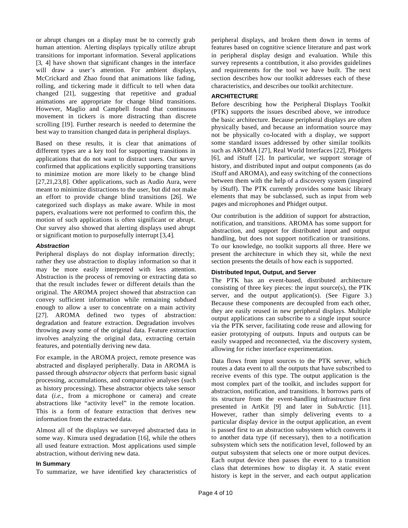or abrupt changes on a display must be to correctly grab human attention. Alerting displays typically utilize abrupt transitions for important information. Several applications [3, 4] have shown that significant changes in the interface will draw a user's attention. For ambient displays, McCrickard and Zhao found that animations like fading, rolling, and tickering made it difficult to tell when data changed [21], suggesting that repetitive and gradual animations are appropriate for change blind transitions. However, Maglio and Campbell found that continuous movement in tickers is more distracting than discrete scrolling [19]. Further research is needed to determine the best way to transition changed data in peripheral displays.

Based on these results, it is clear that animations of different types are a key tool for supporting transitions in applications that do not want to distract users. Our survey confirmed that applications explicitly supporting transitions to minimize motion are more likely to be change blind [27,21,23,8]. Other applications, such as Audio Aura, were meant to minimize distractions to the user, but did not make an effort to provide change blind transitions [26]. We categorized such displays as make aware. While in most papers, evaluations were not performed to confirm this, the motion of such applications is often significant or abrupt. Our survey also showed that alerting displays used abrupt or significant motion to purposefully interrupt [3,4].

# *Abstraction*

Peripheral displays do not display information directly; rather they use abstraction to display information so that it may be more easily interpreted with less attention. Abstraction is the process of removing or extracting data so that the result includes fewer or different details than the original. The AROMA project showed that abstraction can convey sufficient information while remaining subdued enough to allow a user to concentrate on a main activity [27]. AROMA defined two types of abstraction: degradation and feature extraction. Degradation involves throwing away some of the original data. Feature extraction involves analyzing the original data, extracting certain features, and potentially deriving new data.

For example, in the AROMA project, remote presence was abstracted and displayed peripherally. Data in AROMA is passed through *abstractor objects* that perform basic signal processing, accumulations, and comparative analyses (such as history processing). These abstractor objects take sensor data (*i.e.*, from a microphone or camera) and create abstractions like "activity level" in the remote location. This is a form of feature extraction that derives new information from the extracted data.

Almost all of the displays we surveyed abstracted data in some way. Kimura used degradation [16], while the others all used feature extraction. Most applications used simple abstraction, without deriving new data.

# **In Summary**

To summarize, we have identified key characteristics of

peripheral displays, and broken them down in terms of features based on cognitive science literature and past work in peripheral display design and evaluation. While this survey represents a contribution, it also provides guidelines and requirements for the tool we have built. The next section describes how our toolkit addresses each of these characteristics, and describes our toolkit architecture.

# **ARCHITECTURE**

Before describing how the Peripheral Displays Toolkit (PTK) supports the issues described above, we introduce the basic architecture. Because peripheral displays are often physically based, and because an information source may not be physically co-located with a display, we support some standard issues addressed by other similar toolkits such as AROMA [27], Real World Interfaces [22], Phidgets [6], and iStuff [2]. In particular, we support storage of history, and distributed input and output components (as do iStuff and AROMA), and easy switching of the connections between them with the help of a discovery system (inspired by iStuff). The PTK currently provides some basic library elements that may be subclassed, such as input from web pages and microphones and Phidget output.

Our contribution is the addition of support for abstraction, notification, and transitions. AROMA has some support for abstraction, and support for distributed input and output handling, but does not support notification or transitions. To our knowledge, no toolkit supports all three. Here we present the architecture in which they sit, while the next section presents the details of how each is supported.

# **Distributed Input, Output, and Server**

The PTK has an event-based, distributed architecture consisting of three key pieces: the input source(s), the PTK server, and the output application(s). (See Figure 3.) Because these components are decoupled from each other, they are easily reused in new peripheral displays. Multiple output applications can subscribe to a single input source via the PTK server, facilitating code reuse and allowing for easier prototyping of outputs. Inputs and outputs can be easily swapped and reconnected, via the discovery system, allowing for richer interface experimentation.

Data flows from input sources to the PTK server, which routes a data event to all the outputs that have subscribed to receive events of this type. The output application is the most complex part of the toolkit, and includes support for abstraction, notification, and transitions. It borrows parts of its structure from the event-handling infrastructure first presented in ArtKit [9] and later in SubArctic [11]. However, rather than simply delivering events to a particular display device in the output application, an event is passed first to an abstraction subsystem which converts it to another data type (if necessary), then to a notification subsystem which sets the notification level, followed by an output subsystem that selects one or more output devices. Each output device then passes the event to a transition class that determines how to display it. A static event history is kept in the server, and each output application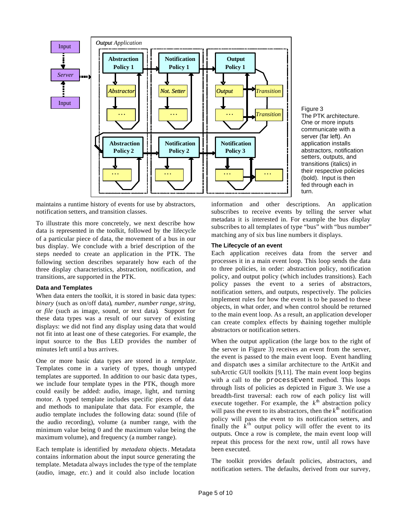

Figure 3 The PTK architecture. One or more inputs communicate with a server (far left). An application installs abstractors, notification setters, outputs, and transitions (italics) in their respective policies (bold). Input is then fed through each in turn.

maintains a runtime history of events for use by abstractors, notification setters, and transition classes.

To illustrate this more concretely, we next describe how data is represented in the toolkit, followed by the lifecycle of a particular piece of data, the movement of a bus in our bus display. We conclude with a brief description of the steps needed to create an application in the PTK. The following section describes separately how each of the three display characteristics, abstraction, notification, and transitions, are supported in the PTK.

#### **Data and Templates**

When data enters the toolkit, it is stored in basic data types: *binary* (such as on/off data)*, number, number range, string,*  or *file* (such as image, sound, or text data)*.* Support for these data types was a result of our survey of existing displays: we did not find any display using data that would not fit into at least one of these categories. For example, the input source to the Bus LED provides the number of minutes left until a bus arrives.

One or more basic data types are stored in a *template*. Templates come in a variety of types, though untyped templates are supported. In addition to our basic data types, we include four template types in the PTK, though more could easily be added: audio, image, light, and turning motor. A typed template includes specific pieces of data and methods to manipulate that data. For example, the audio template includes the following data: sound (file of the audio recording), volume (a number range, with the minimum value being 0 and the maximum value being the maximum volume), and frequency (a number range).

Each template is identified by *metadata* objects*.* Metadata contains information about the input source generating the template. Metadata always includes the type of the template (audio, image, *etc.*) and it could also include location

information and other descriptions. An application subscribes to receive events by telling the server what metadata it is interested in. For example the bus display subscribes to all templates of type "bus" with "bus number" matching any of six bus line numbers it displays.

#### **The Lifecycle of an event**

Each application receives data from the server and processes it in a main event loop. This loop sends the data to three policies, in order: abstraction policy, notification policy, and output policy (which includes transitions). Each policy passes the event to a series of abstractors, notification setters, and outputs, respectively. The policies implement rules for how the event is to be passed to these objects, in what order, and when control should be returned to the main event loop. As a result, an application developer can create complex effects by daining together multiple abstractors or notification setters.

When the output application (the large box to the right of the server in Figure 3) receives an event from the server, the event is passed to the main event loop. Event handling and dispatch uses a similar architecture to the ArtKit and subArctic GUI toolkits [9,11]. The main event loop begins with a call to the processEvent method. This loops through lists of policies as depicted in Figure 3. We use a breadth-first traversal: each row of each policy list will execute together. For example, the  $k^{\text{th}}$  abstraction policy will pass the event to its abstractors, then the  $k^{\text{th}}$  notification policy will pass the event to its notification setters, and finally the  $\vec{k}$ <sup>th</sup> output policy will offer the event to its outputs. Once a row is complete, the main event loop will repeat this process for the next row, until all rows have been executed.

The toolkit provides default policies, abstractors, and notification setters. The defaults, derived from our survey,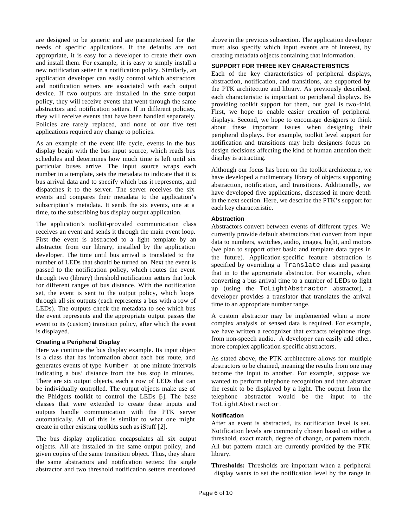are designed to be generic and are parameterized for the needs of specific applications. If the defaults are not appropriate, it is easy for a developer to create their own and install them. For example, it is easy to simply install a new notification setter in a notification policy. Similarly, an application developer can easily control which abstractors and notification setters are associated with each output device. If two outputs are installed in the same output policy, they will receive events that went through the same abstractors and notification setters. If in different policies, they will receive events that have been handled separately. Policies are rarely replaced, and none of our five test applications required any change to policies.

As an example of the event life cycle, events in the bus display begin with the bus input source, which reads bus schedules and determines how much time is left until six particular buses arrive. The input source wraps each number in a template, sets the metadata to indicate that it is bus arrival data and to specify which bus it represents, and dispatches it to the server. The server receives the six events and compares their metadata to the application's subscription's metadata. It sends the six events, one at a time, to the subscribing bus display output application.

The application's toolkit-provided communication class receives an event and sends it through the main event loop. First the event is abstracted to a light template by an abstractor from our library, installed by the application developer. The time until bus arrival is translated to the number of LEDs that should be turned on. Next the event is passed to the notification policy, which routes the event through two (library) threshold notification setters that look for different ranges of bus distance. With the notification set, the event is sent to the output policy, which loops through all six outputs (each represents a bus with a row of LEDs). The outputs check the metadata to see which bus the event represents and the appropriate output passes the event to its (custom) transition policy, after which the event is displayed.

# **Creating a Peripheral Display**

Here we continue the bus display example. Its input object is a class that has information about each bus route, and generates events of type Number at one minute intervals indicating a bus' distance from the bus stop in minutes. There are six output objects, each a row of LEDs that can be individually controlled. The output objects make use of the Phidgets toolkit to control the LEDs [6]. The base classes that were extended to create these inputs and outputs handle communication with the PTK server automatically. All of this is similar to what one might create in other existing toolkits such as iStuff [2].

The bus display application encapsulates all six output objects. All are installed in the same output policy, and given copies of the same transition object. Thus, they share the same abstractors and notification setters: the single abstractor and two threshold notification setters mentioned

above in the previous subsection. The application developer must also specify which input events are of interest, by creating metadata objects containing that information.

# **SUPPORT FOR THREE KEY CHARACTERISTICS**

Each of the key characteristics of peripheral displays, abstraction, notification, and transitions, are supported by the PTK architecture and library. As previously described, each characteristic is important to peripheral displays. By providing toolkit support for them, our goal is two-fold. First, we hope to enable easier creation of peripheral displays. Second, we hope to encourage designers to think about these important issues when designing their peripheral displays. For example, toolkit level support for notification and transitions may help designers focus on design decisions affecting the kind of human attention their display is attracting.

Although our focus has been on the toolkit architecture, we have developed a rudimentary library of objects supporting abstraction, notification, and transitions. Additionally, we have developed five applications, discussed in more depth in the next section. Here, we describe the PTK's support for each key characteristic.

# **Abstraction**

Abstractors convert between events of different types. We currently provide default abstractors that convert from input data to numbers, switches, audio, images, light, and motors (we plan to support other basic and template data types in the future). Application-specific feature abstraction is specified by overriding a Translate class and passing that in to the appropriate abstractor. For example, when converting a bus arrival time to a number of LEDs to light up (using the ToLightAbstractor abstractor), a developer provides a translator that translates the arrival time to an appropriate number range.

A custom abstractor may be implemented when a more complex analysis of sensed data is required. For example, we have written a recognizer that extracts telephone rings from non-speech audio. A developer can easily add other, more complex application-specific abstractors.

As stated above, the PTK architecture allows for multiple abstractors to be chained, meaning the results from one may become the input to another. For example, suppose we wanted to perform telephone recognition and then abstract the result to be displayed by a light. The output from the telephone abstractor would be the input to the ToLightAbstractor.

# **Notification**

After an event is abstracted, its notification level is set. Notification levels are commonly chosen based on either a threshold, exact match, degree of change, or pattern match. All but pattern match are currently provided by the PTK library.

**Thresholds:** Thresholds are important when a peripheral display wants to set the notification level by the range in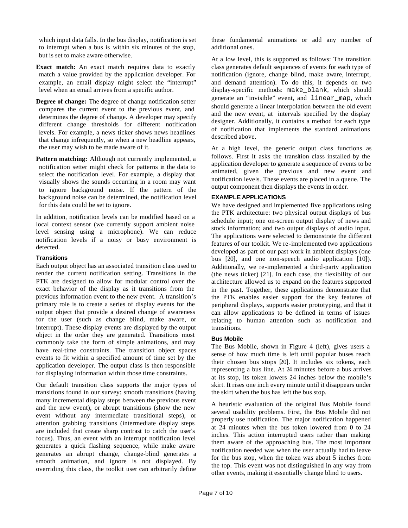which input data falls. In the bus display, notification is set to interrupt when a bus is within six minutes of the stop, but is set to make aware otherwise.

**Exact match:** An exact match requires data to exactly match a value provided by the application developer. For example, an email display might select the "interrupt" level when an email arrives from a specific author.

**Degree of change:** The degree of change notification setter compares the current event to the previous event, and determines the degree of change. A developer may specify different change thresholds for different notification levels. For example, a news ticker shows news headlines that change infrequently, so when a new headline appears, the user may wish to be made aware of it.

**Pattern matching:** Although not currently implemented, a notification setter might check for patterns in the data to select the notification level. For example, a display that visually shows the sounds occurring in a room may want to ignore background noise. If the pattern of the background noise can be determined, the notification level for this data could be set to ignore.

In addition, notification levels can be modified based on a local context sensor (we currently support ambient noise level sensing using a microphone). We can reduce notification levels if a noisy or busy environment is detected.

#### **Transitions**

Each output object has an associated transition class used to render the current notification setting. Transitions in the PTK are designed to allow for modular control over the exact behavior of the display as it transitions from the previous information event to the new event. A transition's primary role is to create a series of display events for the output object that provide a desired change of awareness for the user (such as change blind, make aware, or interrupt). These display events are displayed by the output object in the order they are generated. Transitions most commonly take the form of simple animations, and may have real-time constraints. The transition object spaces events to fit within a specified amount of time set by the application developer. The output class is then responsible for displaying information within those time constraints.

Our default transition class supports the major types of transitions found in our survey: smooth transitions (having many incremental display steps between the previous event and the new event), or abrupt transitions (show the new event without any intermediate transitional steps), or attention grabbing transitions (intermediate display steps are included that create sharp contrast to catch the user's focus). Thus, an event with an interrupt notification level generates a quick flashing sequence, while make aware generates an abrupt change, change-blind generates a smooth animation, and ignore is not displayed. By overriding this class, the toolkit user can arbitrarily define

these fundamental animations or add any number of additional ones.

At a low level, this is supported as follows: The transition class generates default sequences of events for each type of notification (ignore, change blind, make aware, interrupt, and demand attention). To do this, it depends on two display-specific methods: make\_blank, which should generate an "invisible" event, and linear\_map, which should generate a linear interpolation between the old event and the new event, at intervals specified by the display designer. Additionally, it contains a method for each type of notification that implements the standard animations described above.

At a high level, the generic output class functions as follows. First it asks the transition class installed by the application developer to generate a sequence of events to be animated, given the previous and new event and notification levels. These events are placed in a queue. The output component then displays the events in order.

# **EXAMPLE APPLICATIONS**

We have designed and implemented five applications using the PTK architecture: two physical output displays of bus schedule input; one on-screen output display of news and stock information; and two output displays of audio input. The applications were selected to demonstrate the different features of our toolkit. We re-implemented two applications developed as part of our past work in ambient displays (one bus [20], and one non-speech audio application [10]). Additionally, we re-implemented a third-party application (the news ticker) [21]. In each case, the flexibility of our architecture allowed us to expand on the features supported in the past. Together, these applications demonstrate that the PTK enables easier support for the key features of peripheral displays, supports easier prototyping, and that it can allow applications to be defined in terms of issues relating to human attention such as notification and transitions.

# **Bus Mobile**

The Bus Mobile, shown in Figure 4 (left), gives users a sense of how much time is left until popular buses reach their chosen bus stops [20]. It includes six tokens, each representing a bus line. At 24 minutes before a bus arrives at its stop, its token lowers 24 inches below the mobile's skirt. It rises one inch every minute until it disappears under the skirt when the bus has left the bus stop.

A heuristic evaluation of the original Bus Mobile found several usability problems. First, the Bus Mobile did not properly use notification. The major notification happened at 24 minutes when the bus token lowered from 0 to 24 inches. This action interrupted users rather than making them aware of the approaching bus. The most important notification needed was when the user actually had to leave for the bus stop, when the token was about 5 inches from the top. This event was not distinguished in any way from other events, making it essentially change blind to users.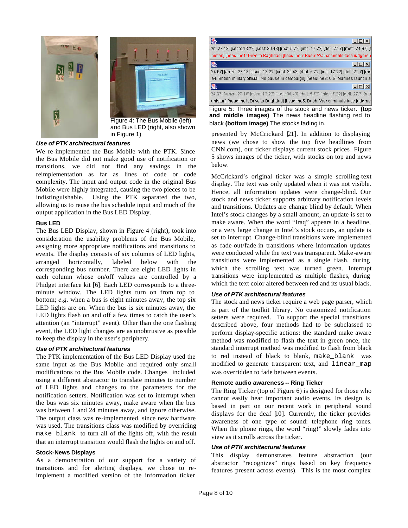



and Bus LED (right, also shown in Figure 1)

# *Use of PTK architectural features*

We re-implemented the Bus Mobile with the PTK. Since the Bus Mobile did not make good use of notification or transitions, we did not find any savings in the reimplementation as far as lines of code or code complexity. The input and output code in the original Bus Mobile were highly integrated, causing the two pieces to be indistinguishable. Using the PTK separated the two, allowing us to reuse the bus schedule input and much of the output application in the Bus LED Display.

# **Bus LED**

The Bus LED Display, shown in Figure 4 (right), took into consideration the usability problems of the Bus Mobile, assigning more appropriate notifications and transitions to events. The display consists of six columns of LED lights, arranged horizontally, labeled below with the corresponding bus number. There are eight LED lights in each column whose on/off values are controlled by a Phidget interface kit [6]. Each LED corresponds to a threeminute window. The LED lights turn on from top to bottom; *e.g.* when a bus is eight minutes away, the top six LED lights are on. When the bus is six minutes away, the LED lights flash on and off a few times to catch the user's attention (an "interrupt" event). Other than the one flashing event, the LED light changes are as unobtrusive as possible to keep the display in the user's periphery.

# *Use of PTK architectural features*

The PTK implementation of the Bus LED Display used the same input as the Bus Mobile and required only small modifications to the Bus Mobile code. Changes included using a different abstractor to translate minutes to number of LED lights and changes to the parameters for the notification setters. Notification was set to interrupt when the bus was six minutes away, make aware when the bus was between 1 and 24 minutes away, and ignore otherwise. The output class was re-implemented, since new hardware was used. The transitions class was modified by overriding make\_blank to turn all of the lights off, with the result that an interrupt transition would flash the lights on and off.

# **Stock-News Displays**

As a demonstration of our support for a variety of transitions and for alerting displays, we chose to reimplement a modified version of the information ticker



Figure 5: Three images of the stock and news ticker. **(top and middle images)** The news headline flashing red to Figure 4: The Bus Mobile (left) black **(bottom image)** The stocks fading in.

presented by McCrickard [21]. In addition to displaying news (we chose to show the top five headlines from CNN.com), our ticker displays current stock prices. Figure 5 shows images of the ticker, with stocks on top and news below.

McCrickard's original ticker was a simple scrolling-text display. The text was only updated when it was not visible. Hence, all information updates were change-blind. Our stock and news ticker supports arbitrary notification levels and transitions. Updates are change blind by default. When Intel's stock changes by a small amount, an update is set to make aware. When the word "Iraq" appears in a headline, or a very large change in Intel's stock occurs, an update is set to interrupt. Change-blind transitions were implemented as fade-out/fade-in transitions where information updates were conducted while the text was transparent. Make-aware transitions were implemented as a single flash, during which the scrolling text was turned green. Interrupt transitions were imp lemented as multiple flashes, during which the text color altered between red and its usual black.

# *Use of PTK architectural features*

The stock and news ticker require a web page parser, which is part of the toolkit library. No customized notification setters were required. To support the special transitions described above, four methods had to be subclassed to perform display-specific actions: the standard make aware method was modified to flash the text in green once, the standard interrupt method was modified to flash from black to red instead of black to blank, make\_blank was modified to generate transparent text, and linear\_map was overridden to fade between events.

# **Remote audio awareness -- Ring Ticker**

The Ring Ticker (top of Figure 6) is designed for those who cannot easily hear important audio events. Its design is based in part on our recent work in peripheral sound displays for the deaf [10]. Currently, the ticker provides awareness of one type of sound: telephone ring tones. When the phone rings, the word "ring!" slowly fades into view as it scrolls across the ticker.

# *Use of PTK architectural features*

This display demonstrates feature abstraction (our abstractor "recognizes" rings based on key frequency features present across events). This is the most complex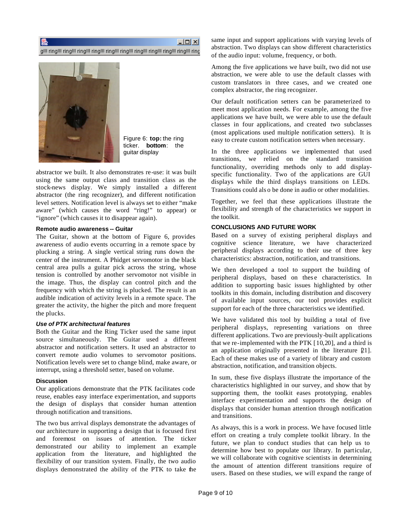ISS.

 $\Box$  $\times$ 

g!!! ring!!! ring!!! ring!!! ring!!! ring!!! ring!!! ring!!! ring!!! ring!!! ring!!! ring



Figure 6: **top:** the ring ticker. **bottom**: the guitar display

abstractor we built. It also demonstrates re-use: it was built using the same output class and transition class as the stock-news display. We simply installed a different abstractor (the ring recognizer), and different notification level setters. Notification level is always set to either "make aware" (which causes the word "ring!" to appear) or "ignore" (which causes it to disappear again).

#### **Remote audio awareness -- Guitar**

The Guitar, shown at the bottom of Figure 6, provides awareness of audio events occurring in a remote space by plucking a string. A single vertical string runs down the center of the instrument. A Phidget servomotor in the black central area pulls a guitar pick across the string, whose tension is controlled by another servomotor not visible in the image. Thus, the display can control pitch and the frequency with which the string is plucked. The result is an audible indication of activity levels in a remote space. The greater the activity, the higher the pitch and more frequent the plucks.

#### *Use of PTK architectural features*

Both the Guitar and the Ring Ticker used the same input source simultaneously. The Guitar used a different abstractor and notification setters. It used an abstractor to convert remote audio volumes to servomotor positions. Notification levels were set to change blind, make aware, or interrupt, using a threshold setter, based on volume.

# **Discussion**

Our applications demonstrate that the PTK facilitates code reuse, enables easy interface experimentation, and supports the design of displays that consider human attention through notification and transitions.

The two bus arrival displays demonstrate the advantages of our architecture in supporting a design that is focused first and foremost on issues of attention. The ticker demonstrated our ability to implement an example application from the literature, and highlighted the flexibility of our transition system. Finally, the two audio displays demonstrated the ability of the PTK to take the same input and support applications with varying levels of abstraction. Two displays can show different characteristics of the audio input: volume, frequency, or both.

Among the five applications we have built, two did not use abstraction, we were able to use the default classes with custom translators in three cases, and we created one complex abstractor, the ring recognizer.

Our default notification setters can be parameterized to meet most application needs. For example, among the five applications we have built, we were able to use the default classes in four applications, and created two subclasses (most applications used multiple notification setters). It is easy to create custom notification setters when necessary.

In the three applications we implemented that used transitions, we relied on the standard transition functionality, overriding methods only to add displayspecific functionality. Two of the applications are GUI displays while the third displays transitions on LEDs. Transitions could als o be done in audio or other modalities.

Together, we feel that these applications illustrate the flexibility and strength of the characteristics we support in the toolkit.

# **CONCLUSIONS AND FUTURE WORK**

Based on a survey of existing peripheral displays and cognitive science literature, we have characterized peripheral displays according to their use of three key characteristics: abstraction, notification, and transitions.

We then developed a tool to support the building of peripheral displays, based on thes e characteristics. In addition to supporting basic issues highlighted by other toolkits in this domain, including distribution and discovery of available input sources, our tool provides explicit support for each of the three characteristics we identified.

We have validated this tool by building a total of five peripheral displays, representing variations on three different applications. Two are previously-built applications that we re-implemented with the PTK  $[10,20]$ , and a third is an application originally presented in the literature  $[21]$ . Each of these makes use of a variety of library and custom abstraction, notification, and transition objects.

In sum, these five displays illustrate the importance of the characteristics highlighted in our survey, and show that by supporting them, the toolkit eases prototyping, enables interface experimentation and supports the design of displays that consider human attention through notification and transitions.

As always, this is a work in process. We have focused little effort on creating a truly complete toolkit library. In the future, we plan to conduct studies that can help us to determine how best to populate our library. In particular, we will collaborate with cognitive scientists in determining the amount of attention different transitions require of users. Based on these studies, we will expand the range of